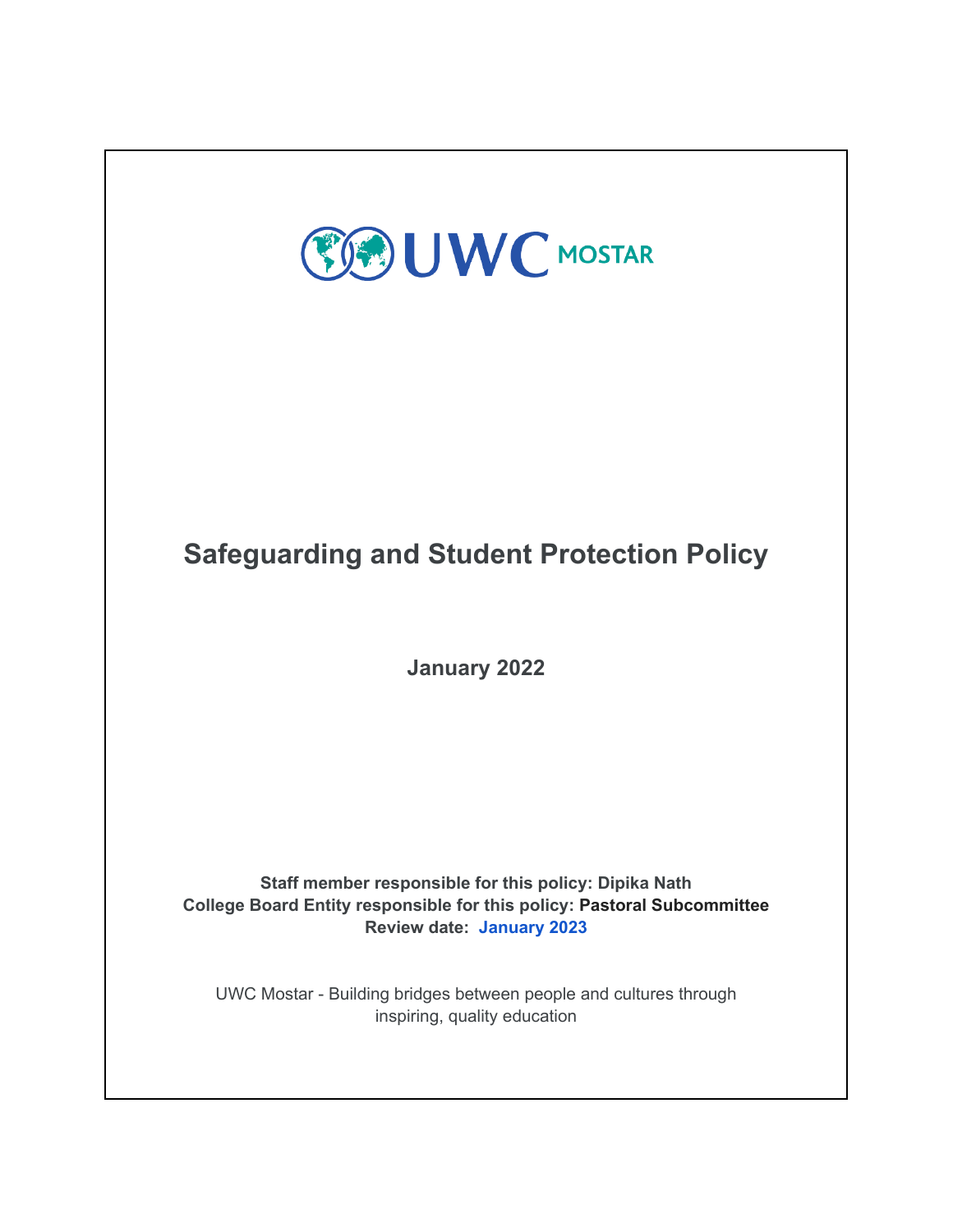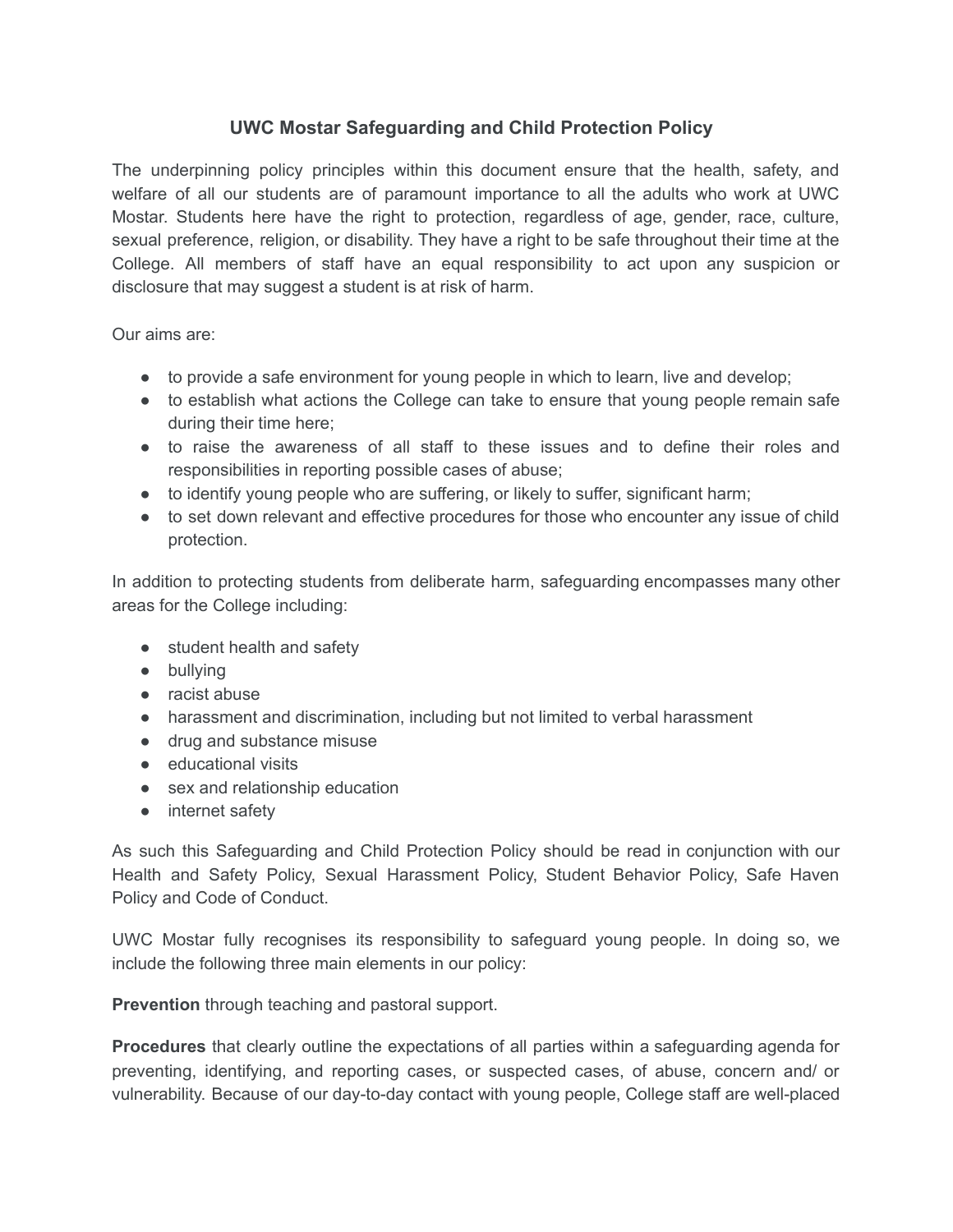# **UWC Mostar Safeguarding and Child Protection Policy**

The underpinning policy principles within this document ensure that the health, safety, and welfare of all our students are of paramount importance to all the adults who work at UWC Mostar. Students here have the right to protection, regardless of age, gender, race, culture, sexual preference, religion, or disability. They have a right to be safe throughout their time at the College. All members of staff have an equal responsibility to act upon any suspicion or disclosure that may suggest a student is at risk of harm.

Our aims are:

- to provide a safe environment for young people in which to learn, live and develop;
- to establish what actions the College can take to ensure that young people remain safe during their time here;
- to raise the awareness of all staff to these issues and to define their roles and responsibilities in reporting possible cases of abuse;
- to identify young people who are suffering, or likely to suffer, significant harm;
- to set down relevant and effective procedures for those who encounter any issue of child protection.

In addition to protecting students from deliberate harm, safeguarding encompasses many other areas for the College including:

- student health and safety
- bullying
- racist abuse
- harassment and discrimination, including but not limited to verbal harassment
- drug and substance misuse
- educational visits
- sex and relationship education
- internet safety

As such this Safeguarding and Child Protection Policy should be read in conjunction with our Health and Safety Policy, Sexual Harassment Policy, Student Behavior Policy, Safe Haven Policy and Code of Conduct.

UWC Mostar fully recognises its responsibility to safeguard young people. In doing so, we include the following three main elements in our policy:

**Prevention** through teaching and pastoral support.

**Procedures** that clearly outline the expectations of all parties within a safeguarding agenda for preventing, identifying, and reporting cases, or suspected cases, of abuse, concern and/ or vulnerability. Because of our day-to-day contact with young people, College staff are well-placed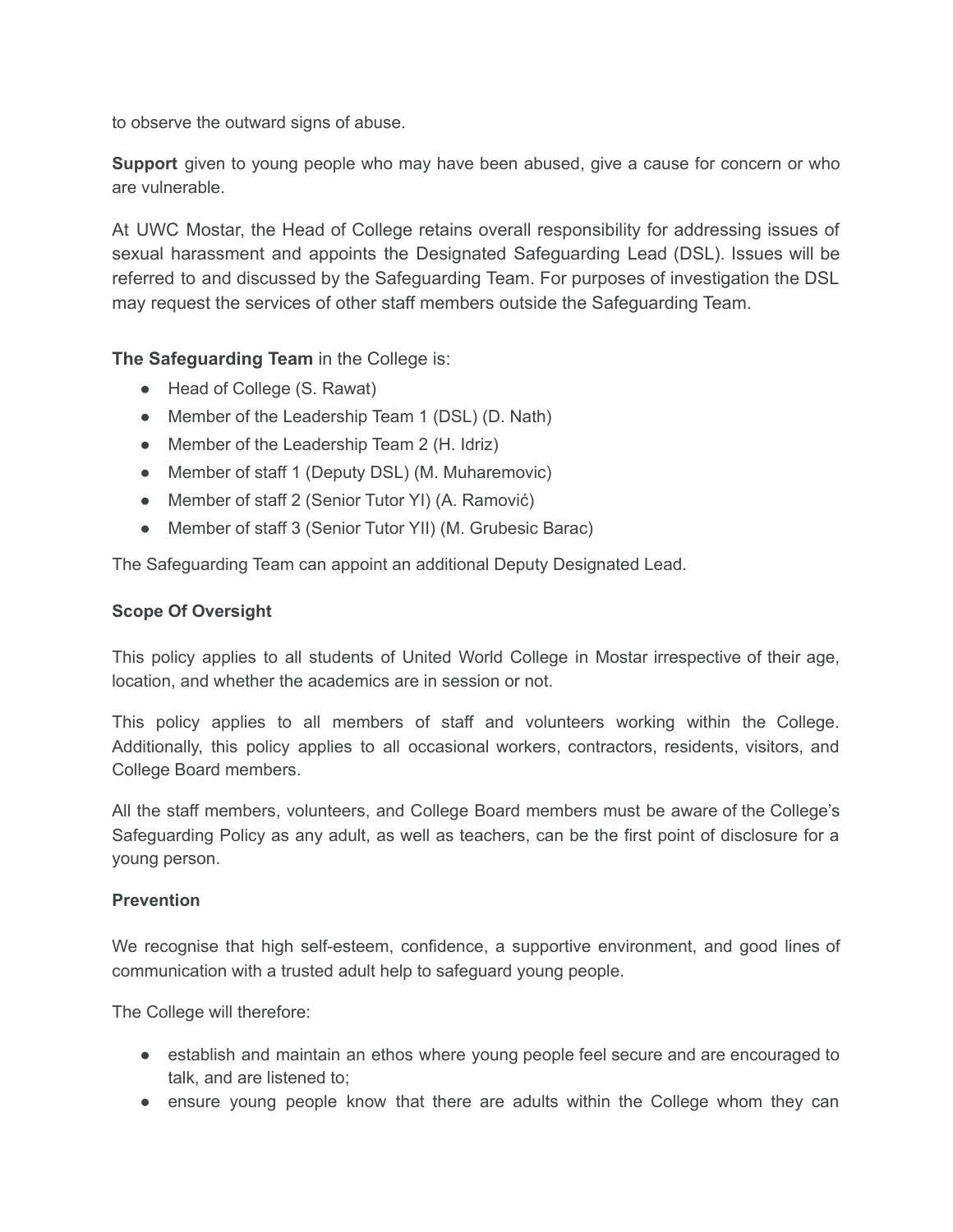to observe the outward signs of abuse.

**Support** given to young people who may have been abused, give a cause for concern or who are vulnerable.

At UWC Mostar, the Head of College retains overall responsibility for addressing issues of sexual harassment and appoints the Designated Safeguarding Lead (DSL). Issues will be referred to and discussed by the Safeguarding Team. For purposes of investigation the DSL may request the services of other staff members outside the Safeguarding Team.

**The Safeguarding Team** in the College is:

- Head of College (S. Rawat)
- Member of the Leadership Team 1 (DSL) (D. Nath)
- Member of the Leadership Team 2 (H. Idriz)
- Member of staff 1 (Deputy DSL) (M. Muharemovic)
- Member of staff 2 (Senior Tutor YI) (A. Ramović)
- Member of staff 3 (Senior Tutor YII) (M. Grubesic Barac)

The Safeguarding Team can appoint an additional Deputy Designated Lead.

# **Scope Of Oversight**

This policy applies to all students of United World College in Mostar irrespective of their age, location, and whether the academics are in session or not.

This policy applies to all members of staff and volunteers working within the College. Additionally, this policy applies to all occasional workers, contractors, residents, visitors, and College Board members.

All the staff members, volunteers, and College Board members must be aware of the College's Safeguarding Policy as any adult, as well as teachers, can be the first point of disclosure for a young person.

## **Prevention**

We recognise that high self-esteem, confidence, a supportive environment, and good lines of communication with a trusted adult help to safeguard young people.

The College will therefore:

- establish and maintain an ethos where young people feel secure and are encouraged to talk, and are listened to;
- ensure young people know that there are adults within the College whom they can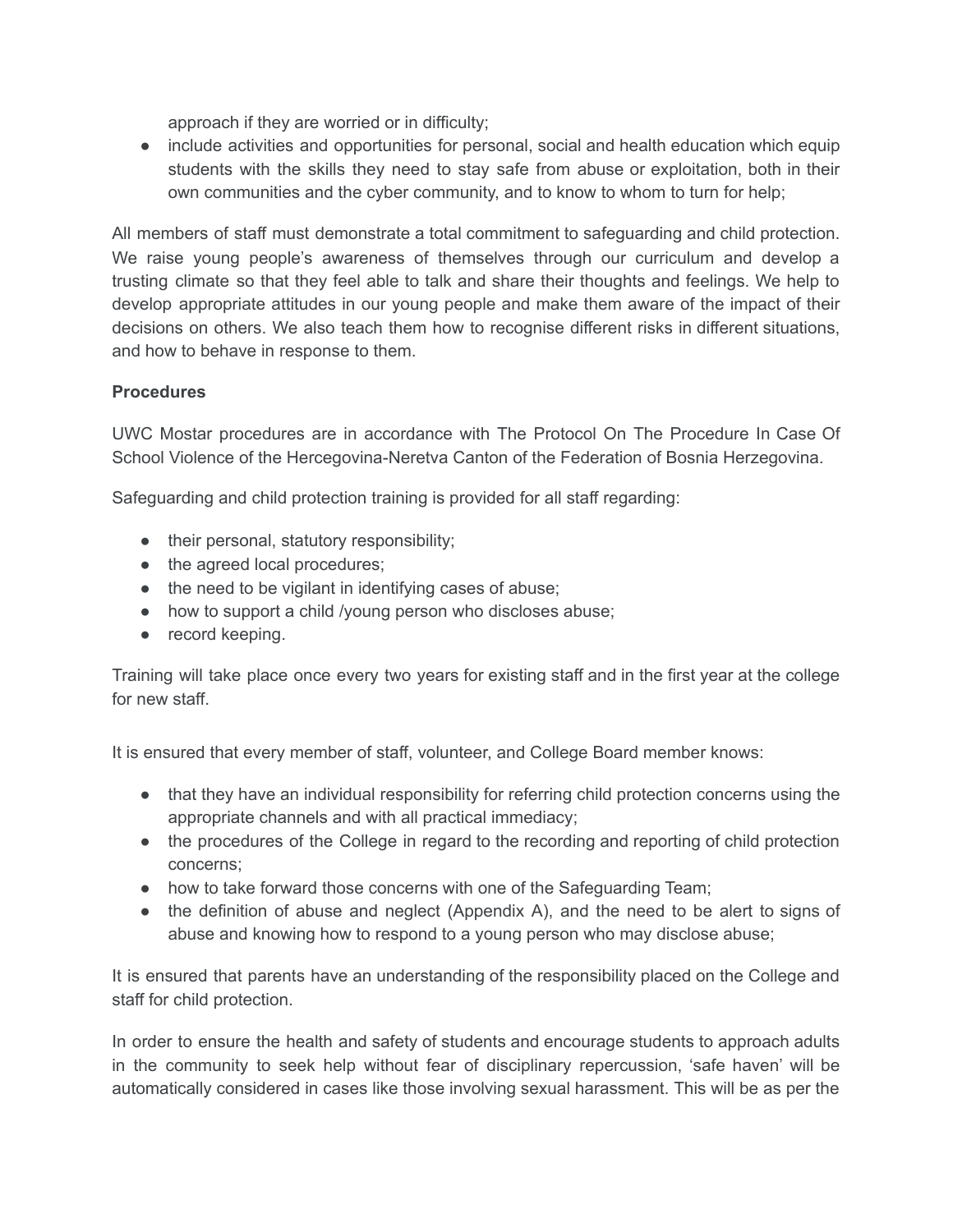approach if they are worried or in difficulty;

● include activities and opportunities for personal, social and health education which equip students with the skills they need to stay safe from abuse or exploitation, both in their own communities and the cyber community, and to know to whom to turn for help;

All members of staff must demonstrate a total commitment to safeguarding and child protection. We raise young people's awareness of themselves through our curriculum and develop a trusting climate so that they feel able to talk and share their thoughts and feelings. We help to develop appropriate attitudes in our young people and make them aware of the impact of their decisions on others. We also teach them how to recognise different risks in different situations, and how to behave in response to them.

# **Procedures**

UWC Mostar procedures are in accordance with The Protocol On The Procedure In Case Of School Violence of the Hercegovina-Neretva Canton of the Federation of Bosnia Herzegovina.

Safeguarding and child protection training is provided for all staff regarding:

- their personal, statutory responsibility;
- the agreed local procedures;
- the need to be vigilant in identifying cases of abuse;
- how to support a child /young person who discloses abuse;
- record keeping.

Training will take place once every two years for existing staff and in the first year at the college for new staff.

It is ensured that every member of staff, volunteer, and College Board member knows:

- that they have an individual responsibility for referring child protection concerns using the appropriate channels and with all practical immediacy;
- the procedures of the College in regard to the recording and reporting of child protection concerns;
- how to take forward those concerns with one of the Safeguarding Team;
- the definition of abuse and neglect (Appendix A), and the need to be alert to signs of abuse and knowing how to respond to a young person who may disclose abuse;

It is ensured that parents have an understanding of the responsibility placed on the College and staff for child protection.

In order to ensure the health and safety of students and encourage students to approach adults in the community to seek help without fear of disciplinary repercussion, 'safe haven' will be automatically considered in cases like those involving sexual harassment. This will be as per the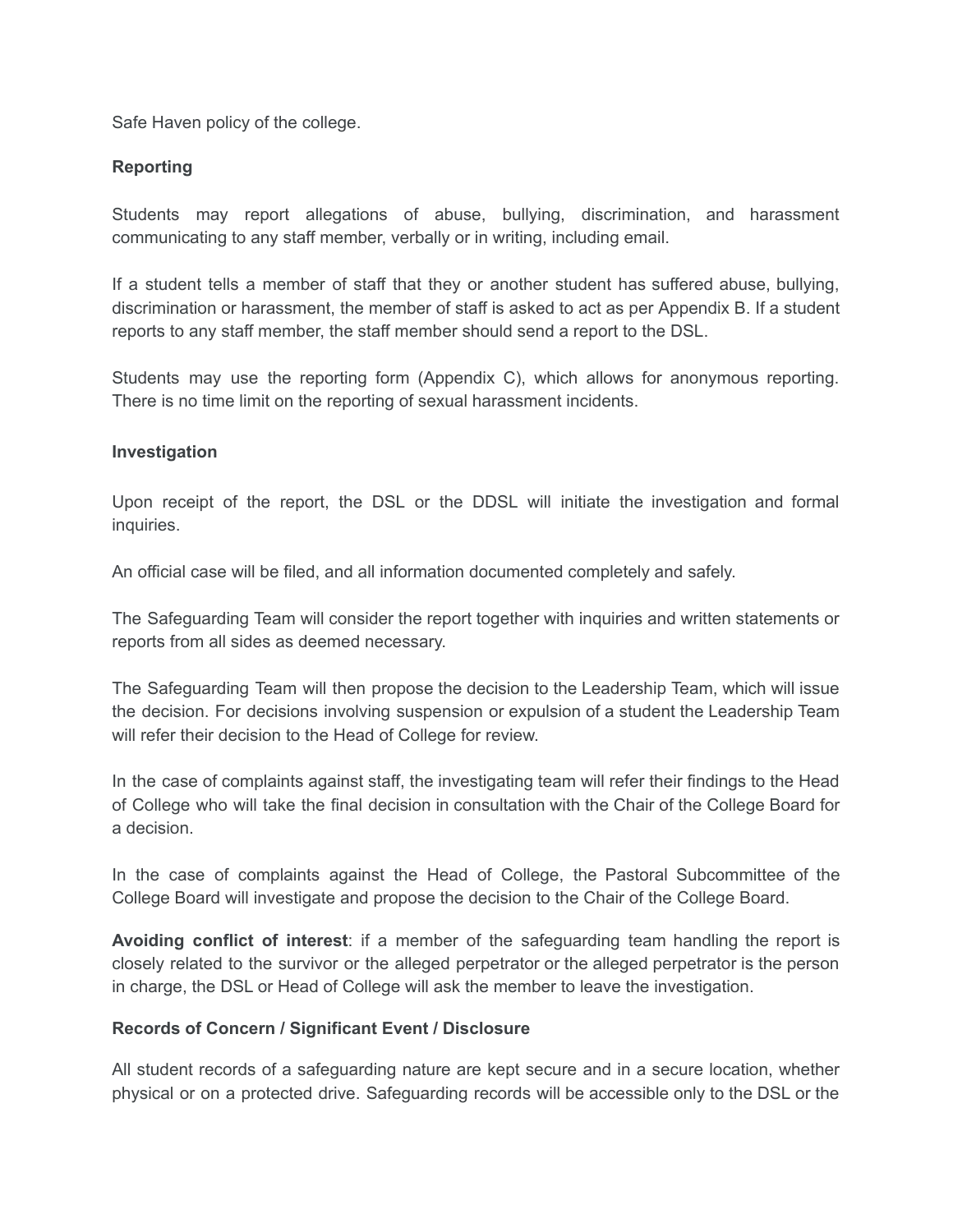Safe Haven policy of the college.

# **Reporting**

Students may report allegations of abuse, bullying, discrimination, and harassment communicating to any staff member, verbally or in writing, including email.

If a student tells a member of staff that they or another student has suffered abuse, bullying, discrimination or harassment, the member of staff is asked to act as per Appendix B. If a student reports to any staff member, the staff member should send a report to the DSL.

Students may use the reporting form (Appendix C), which allows for anonymous reporting. There is no time limit on the reporting of sexual harassment incidents.

## **Investigation**

Upon receipt of the report, the DSL or the DDSL will initiate the investigation and formal inquiries.

An official case will be filed, and all information documented completely and safely.

The Safeguarding Team will consider the report together with inquiries and written statements or reports from all sides as deemed necessary.

The Safeguarding Team will then propose the decision to the Leadership Team, which will issue the decision. For decisions involving suspension or expulsion of a student the Leadership Team will refer their decision to the Head of College for review.

In the case of complaints against staff, the investigating team will refer their findings to the Head of College who will take the final decision in consultation with the Chair of the College Board for a decision.

In the case of complaints against the Head of College, the Pastoral Subcommittee of the College Board will investigate and propose the decision to the Chair of the College Board.

**Avoiding conflict of interest**: if a member of the safeguarding team handling the report is closely related to the survivor or the alleged perpetrator or the alleged perpetrator is the person in charge, the DSL or Head of College will ask the member to leave the investigation.

## **Records of Concern / Significant Event / Disclosure**

All student records of a safeguarding nature are kept secure and in a secure location, whether physical or on a protected drive. Safeguarding records will be accessible only to the DSL or the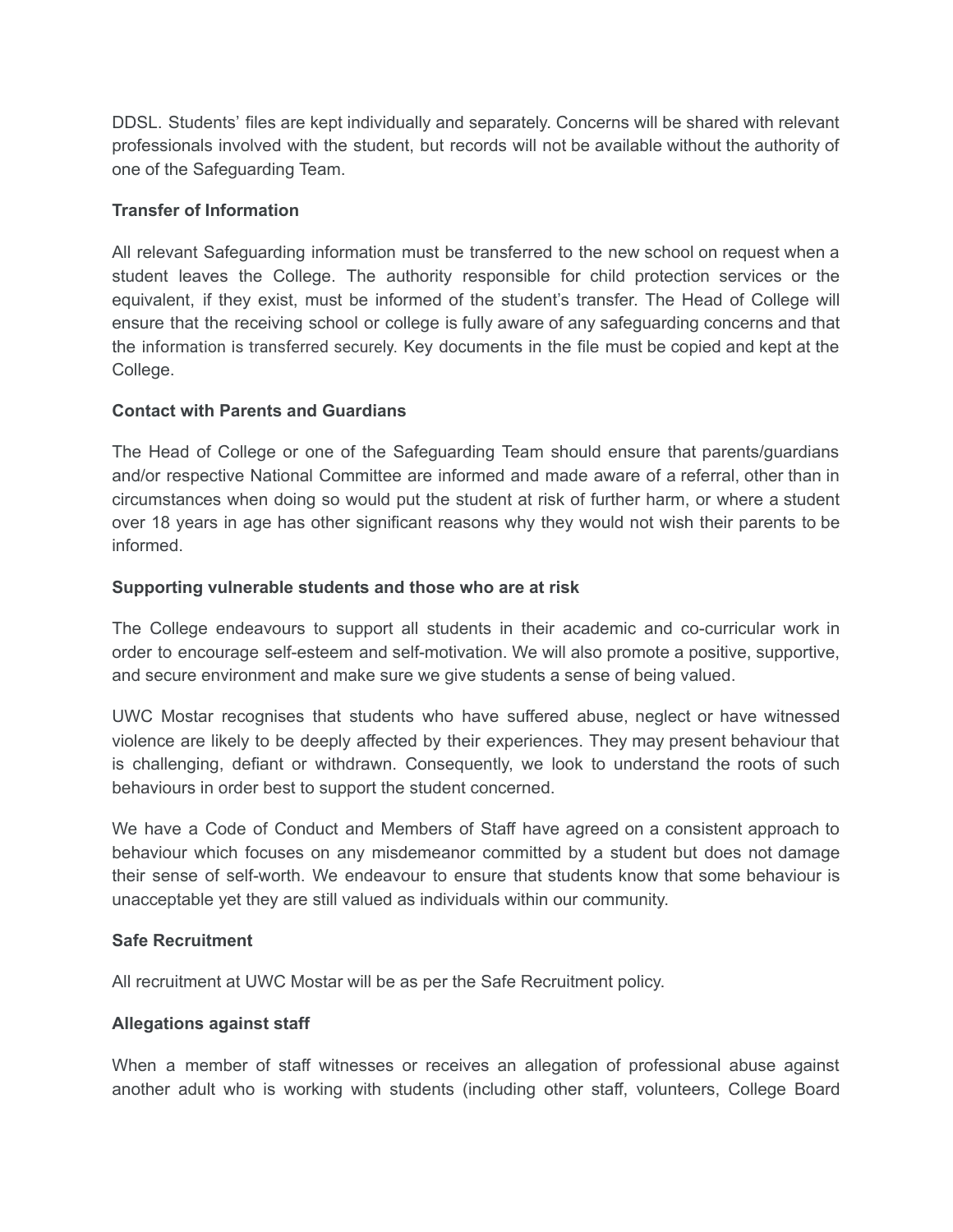DDSL. Students' files are kept individually and separately. Concerns will be shared with relevant professionals involved with the student, but records will not be available without the authority of one of the Safeguarding Team.

# **Transfer of Information**

All relevant Safeguarding information must be transferred to the new school on request when a student leaves the College. The authority responsible for child protection services or the equivalent, if they exist, must be informed of the student's transfer. The Head of College will ensure that the receiving school or college is fully aware of any safeguarding concerns and that the information is transferred securely. Key documents in the file must be copied and kept at the College.

# **Contact with Parents and Guardians**

The Head of College or one of the Safeguarding Team should ensure that parents/guardians and/or respective National Committee are informed and made aware of a referral, other than in circumstances when doing so would put the student at risk of further harm, or where a student over 18 years in age has other significant reasons why they would not wish their parents to be informed.

# **Supporting vulnerable students and those who are at risk**

The College endeavours to support all students in their academic and co-curricular work in order to encourage self-esteem and self-motivation. We will also promote a positive, supportive, and secure environment and make sure we give students a sense of being valued.

UWC Mostar recognises that students who have suffered abuse, neglect or have witnessed violence are likely to be deeply affected by their experiences. They may present behaviour that is challenging, defiant or withdrawn. Consequently, we look to understand the roots of such behaviours in order best to support the student concerned.

We have a Code of Conduct and Members of Staff have agreed on a consistent approach to behaviour which focuses on any misdemeanor committed by a student but does not damage their sense of self-worth. We endeavour to ensure that students know that some behaviour is unacceptable yet they are still valued as individuals within our community.

## **Safe Recruitment**

All recruitment at UWC Mostar will be as per the Safe Recruitment policy.

## **Allegations against staff**

When a member of staff witnesses or receives an allegation of professional abuse against another adult who is working with students (including other staff, volunteers, College Board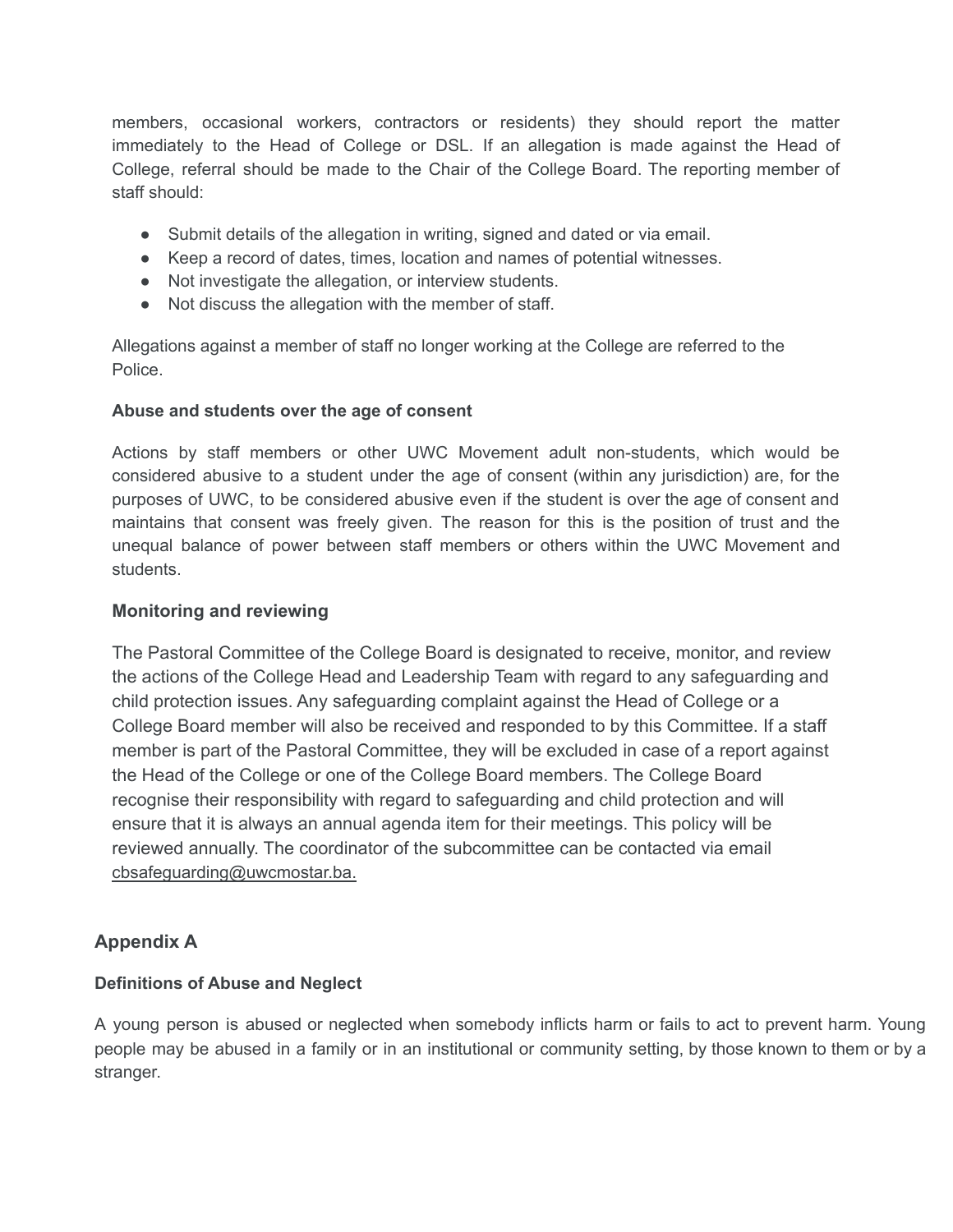members, occasional workers, contractors or residents) they should report the matter immediately to the Head of College or DSL. If an allegation is made against the Head of College, referral should be made to the Chair of the College Board. The reporting member of staff should:

- Submit details of the allegation in writing, signed and dated or via email.
- Keep a record of dates, times, location and names of potential witnesses.
- Not investigate the allegation, or interview students.
- Not discuss the allegation with the member of staff.

Allegations against a member of staff no longer working at the College are referred to the Police.

# **Abuse and students over the age of consent**

Actions by staff members or other UWC Movement adult non-students, which would be considered abusive to a student under the age of consent (within any jurisdiction) are, for the purposes of UWC, to be considered abusive even if the student is over the age of consent and maintains that consent was freely given. The reason for this is the position of trust and the unequal balance of power between staff members or others within the UWC Movement and students.

# **Monitoring and reviewing**

The Pastoral Committee of the College Board is designated to receive, monitor, and review the actions of the College Head and Leadership Team with regard to any safeguarding and child protection issues. Any safeguarding complaint against the Head of College or a College Board member will also be received and responded to by this Committee. If a staff member is part of the Pastoral Committee, they will be excluded in case of a report against the Head of the College or one of the College Board members. The College Board recognise their responsibility with regard to safeguarding and child protection and will ensure that it is always an annual agenda item for their meetings. This policy will be reviewed annually. The coordinator of the subcommittee can be contacted via email cbsafeguarding@uwcmostar.ba.

# **Appendix A**

# **Definitions of Abuse and Neglect**

A young person is abused or neglected when somebody inflicts harm or fails to act to prevent harm. Young people may be abused in a family or in an institutional or community setting, by those known to them or by a stranger.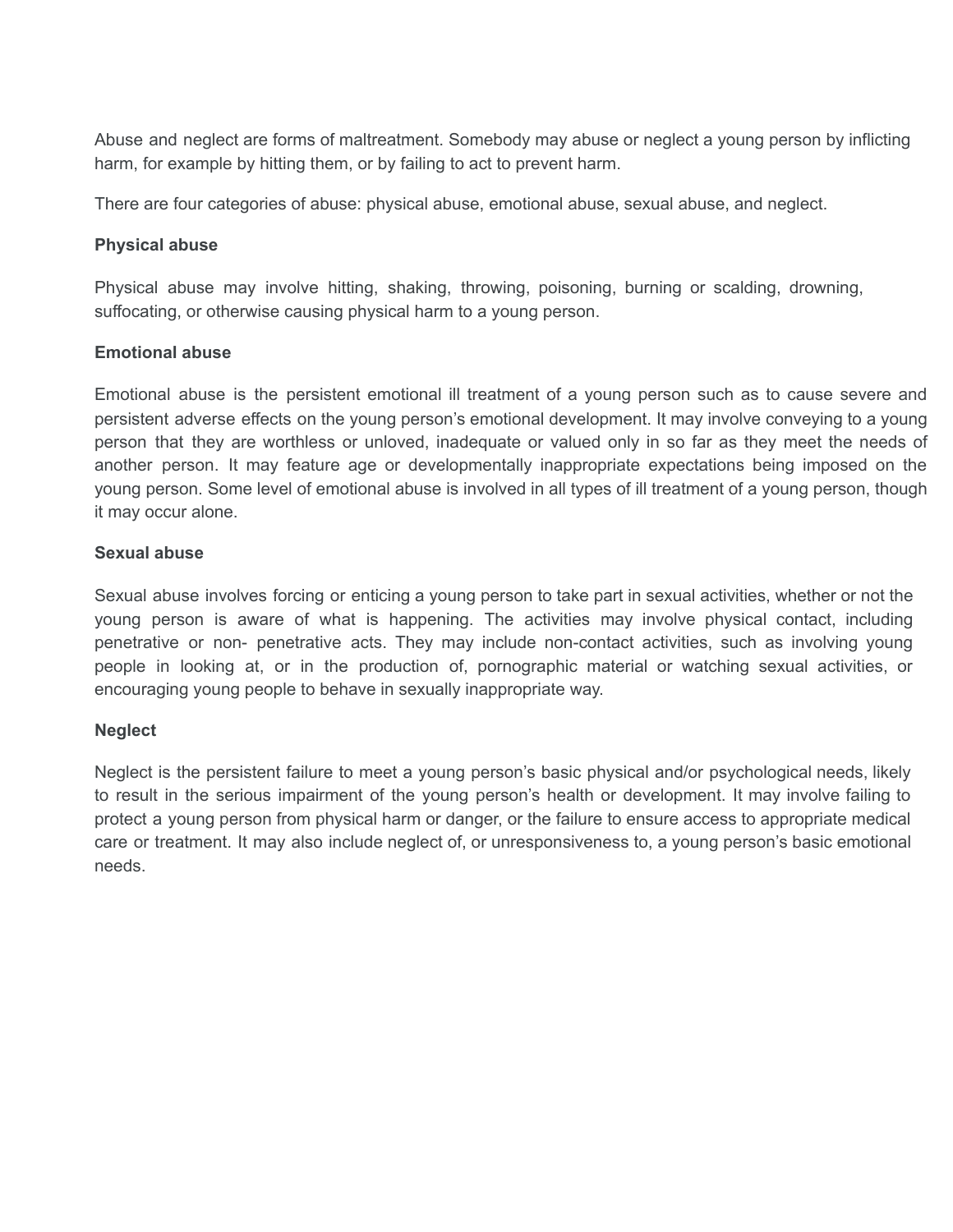Abuse and neglect are forms of maltreatment. Somebody may abuse or neglect a young person by inflicting harm, for example by hitting them, or by failing to act to prevent harm.

There are four categories of abuse: physical abuse, emotional abuse, sexual abuse, and neglect.

# **Physical abuse**

Physical abuse may involve hitting, shaking, throwing, poisoning, burning or scalding, drowning, suffocating, or otherwise causing physical harm to a young person.

# **Emotional abuse**

Emotional abuse is the persistent emotional ill treatment of a young person such as to cause severe and persistent adverse effects on the young person's emotional development. It may involve conveying to a young person that they are worthless or unloved, inadequate or valued only in so far as they meet the needs of another person. It may feature age or developmentally inappropriate expectations being imposed on the young person. Some level of emotional abuse is involved in all types of ill treatment of a young person, though it may occur alone.

# **Sexual abuse**

Sexual abuse involves forcing or enticing a young person to take part in sexual activities, whether or not the young person is aware of what is happening. The activities may involve physical contact, including penetrative or non- penetrative acts. They may include non-contact activities, such as involving young people in looking at, or in the production of, pornographic material or watching sexual activities, or encouraging young people to behave in sexually inappropriate way.

## **Neglect**

Neglect is the persistent failure to meet a young person's basic physical and/or psychological needs, likely to result in the serious impairment of the young person's health or development. It may involve failing to protect a young person from physical harm or danger, or the failure to ensure access to appropriate medical care or treatment. It may also include neglect of, or unresponsiveness to, a young person's basic emotional needs.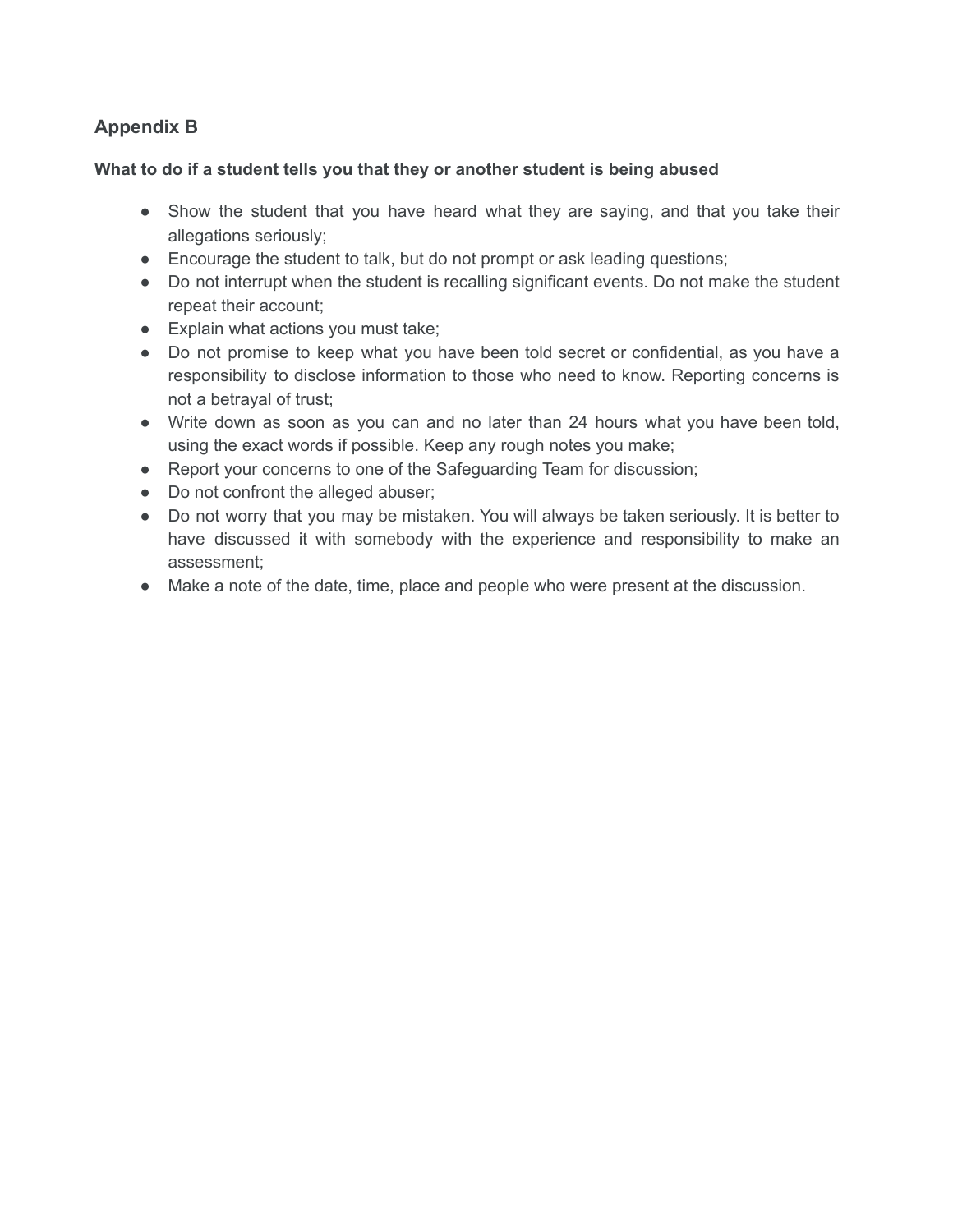# **Appendix B**

# **What to do if a student tells you that they or another student is being abused**

- Show the student that you have heard what they are saying, and that you take their allegations seriously;
- Encourage the student to talk, but do not prompt or ask leading questions;
- Do not interrupt when the student is recalling significant events. Do not make the student repeat their account;
- Explain what actions you must take;
- Do not promise to keep what you have been told secret or confidential, as you have a responsibility to disclose information to those who need to know. Reporting concerns is not a betrayal of trust;
- Write down as soon as you can and no later than 24 hours what you have been told, using the exact words if possible. Keep any rough notes you make;
- Report your concerns to one of the Safeguarding Team for discussion;
- Do not confront the alleged abuser;
- Do not worry that you may be mistaken. You will always be taken seriously. It is better to have discussed it with somebody with the experience and responsibility to make an assessment;
- Make a note of the date, time, place and people who were present at the discussion.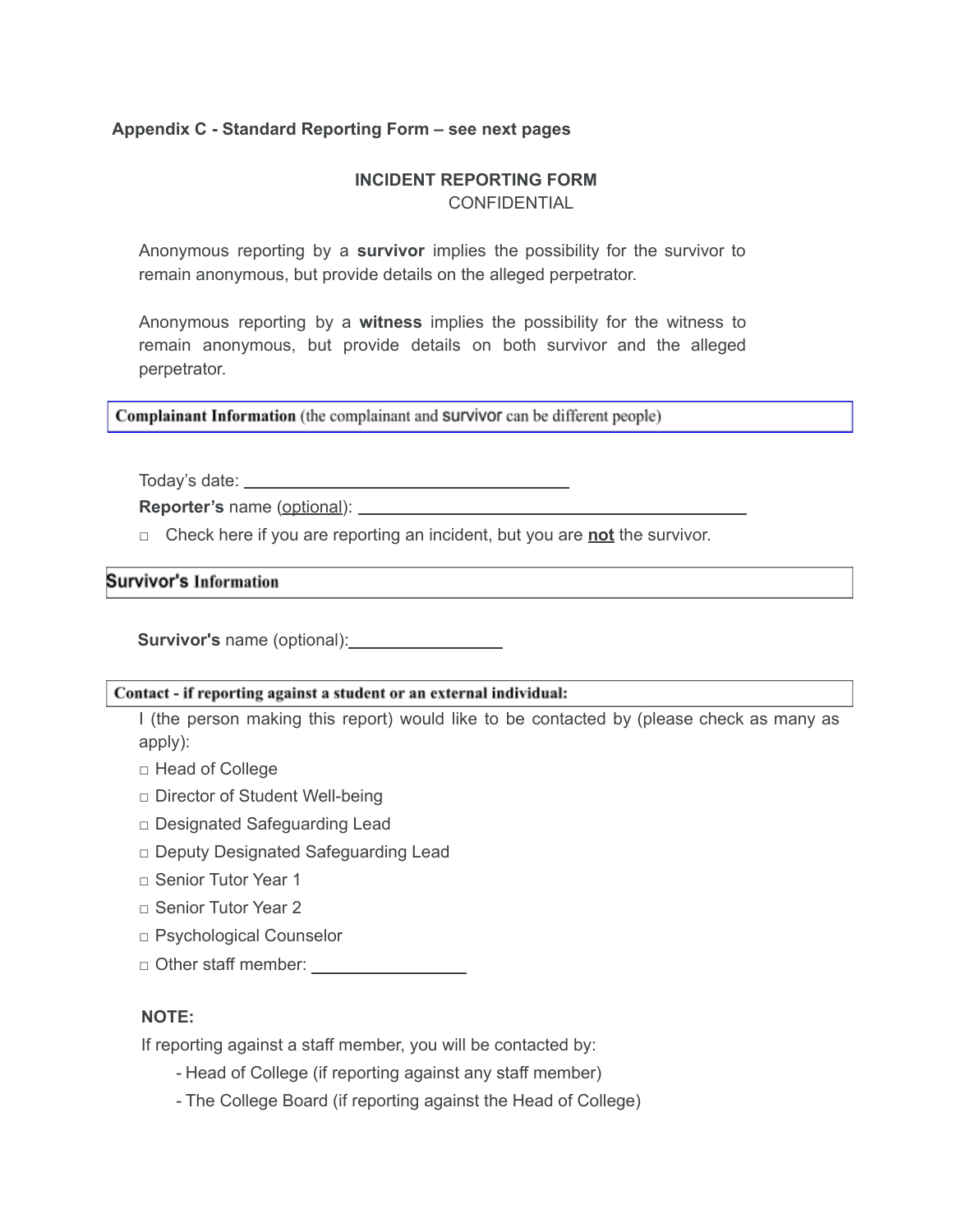# **Appendix C - Standard Reporting Form – see next pages**

# **INCIDENT REPORTING FORM** CONFIDENTIAL

Anonymous reporting by a **survivor** implies the possibility for the survivor to remain anonymous, but provide details on the alleged perpetrator.

Anonymous reporting by a **witness** implies the possibility for the witness to remain anonymous, but provide details on both survivor and the alleged perpetrator.

Complainant Information (the complainant and Survivor can be different people)

Today's date:

**Reporter's** name (optional):

□ Check here if you are reporting an incident, but you are **not** the survivor.

#### **Survivor's Information**

**Survivor's** name (optional):

#### Contact - if reporting against a student or an external individual:

I (the person making this report) would like to be contacted by (please check as many as apply):

- □ Head of College
- □ Director of Student Well-being
- □ Designated Safeguarding Lead
- □ Deputy Designated Safeguarding Lead
- □ Senior Tutor Year 1
- □ Senior Tutor Year 2
- □ Psychological Counselor
- □ Other staff member:

## **NOTE:**

If reporting against a staff member, you will be contacted by:

- Head of College (if reporting against any staff member)
- The College Board (if reporting against the Head of College)